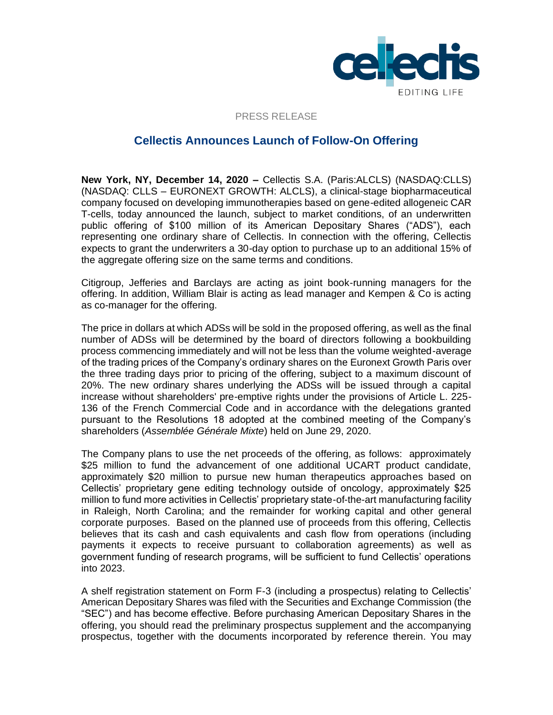

#### PRESS RELEASE

# **Cellectis Announces Launch of Follow-On Offering**

**New York, NY, December 14, 2020 –** Cellectis S.A. (Paris:ALCLS) (NASDAQ:CLLS) (NASDAQ: CLLS – EURONEXT GROWTH: ALCLS), a clinical-stage biopharmaceutical company focused on developing immunotherapies based on gene-edited allogeneic CAR T-cells, today announced the launch, subject to market conditions, of an underwritten public offering of \$100 million of its American Depositary Shares ("ADS"), each representing one ordinary share of Cellectis. In connection with the offering, Cellectis expects to grant the underwriters a 30-day option to purchase up to an additional 15% of the aggregate offering size on the same terms and conditions.

Citigroup, Jefferies and Barclays are acting as joint book-running managers for the offering. In addition, William Blair is acting as lead manager and Kempen & Co is acting as co-manager for the offering.

The price in dollars at which ADSs will be sold in the proposed offering, as well as the final number of ADSs will be determined by the board of directors following a bookbuilding process commencing immediately and will not be less than the volume weighted-average of the trading prices of the Company's ordinary shares on the Euronext Growth Paris over the three trading days prior to pricing of the offering, subject to a maximum discount of 20%. The new ordinary shares underlying the ADSs will be issued through a capital increase without shareholders' pre-emptive rights under the provisions of Article L. 225- 136 of the French Commercial Code and in accordance with the delegations granted pursuant to the Resolutions 18 adopted at the combined meeting of the Company's shareholders (*Assemblée Générale Mixte*) held on June 29, 2020.

The Company plans to use the net proceeds of the offering, as follows: approximately \$25 million to fund the advancement of one additional UCART product candidate, approximately \$20 million to pursue new human therapeutics approaches based on Cellectis' proprietary gene editing technology outside of oncology, approximately \$25 million to fund more activities in Cellectis' proprietary state-of-the-art manufacturing facility in Raleigh, North Carolina; and the remainder for working capital and other general corporate purposes. Based on the planned use of proceeds from this offering, Cellectis believes that its cash and cash equivalents and cash flow from operations (including payments it expects to receive pursuant to collaboration agreements) as well as government funding of research programs, will be sufficient to fund Cellectis' operations into 2023.

A shelf registration statement on Form F-3 (including a prospectus) relating to Cellectis' American Depositary Shares was filed with the Securities and Exchange Commission (the "SEC") and has become effective. Before purchasing American Depositary Shares in the offering, you should read the preliminary prospectus supplement and the accompanying prospectus, together with the documents incorporated by reference therein. You may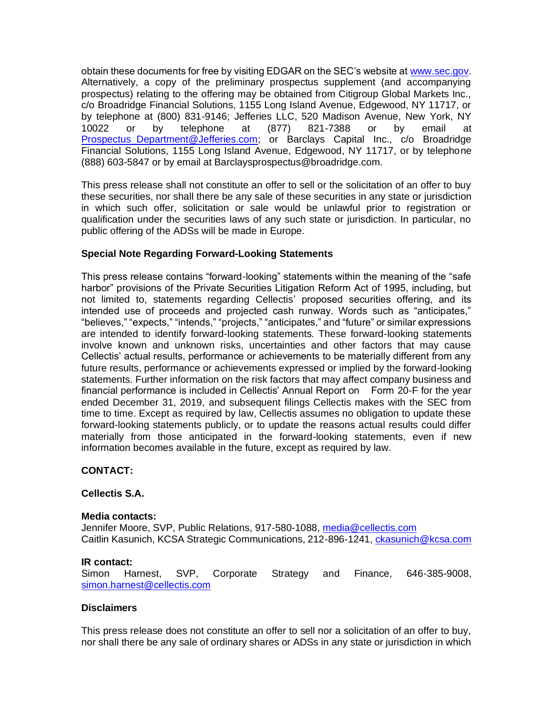obtain these documents for free by visiting EDGAR on the SEC's website at [www.sec.gov.](http://www.sec.gov/) Alternatively, a copy of the preliminary prospectus supplement (and accompanying prospectus) relating to the offering may be obtained from Citigroup Global Markets Inc., c/o Broadridge Financial Solutions, 1155 Long Island Avenue, Edgewood, NY 11717, or by telephone at (800) 831-9146; Jefferies LLC, 520 Madison Avenue, New York, NY 10022 or by telephone at (877) 821-7388 or by email at Prospectus Department@Jefferies.com; or Barclays Capital Inc., c/o Broadridge Financial Solutions, 1155 Long Island Avenue, Edgewood, NY 11717, or by telephone (888) 603-5847 or by email at Barclaysprospectus@broadridge.com.

This press release shall not constitute an offer to sell or the solicitation of an offer to buy these securities, nor shall there be any sale of these securities in any state or jurisdiction in which such offer, solicitation or sale would be unlawful prior to registration or qualification under the securities laws of any such state or jurisdiction. In particular, no public offering of the ADSs will be made in Europe.

### **Special Note Regarding Forward-Looking Statements**

This press release contains "forward-looking" statements within the meaning of the "safe harbor" provisions of the Private Securities Litigation Reform Act of 1995, including, but not limited to, statements regarding Cellectis' proposed securities offering, and its intended use of proceeds and projected cash runway. Words such as "anticipates," "believes," "expects," "intends," "projects," "anticipates," and "future" or similar expressions are intended to identify forward-looking statements. These forward-looking statements involve known and unknown risks, uncertainties and other factors that may cause Cellectis' actual results, performance or achievements to be materially different from any future results, performance or achievements expressed or implied by the forward-looking statements. Further information on the risk factors that may affect company business and financial performance is included in Cellectis' Annual Report on Form 20-F for the year ended December 31, 2019, and subsequent filings Cellectis makes with the SEC from time to time. Except as required by law, Cellectis assumes no obligation to update these forward-looking statements publicly, or to update the reasons actual results could differ materially from those anticipated in the forward-looking statements, even if new information becomes available in the future, except as required by law.

## **CONTACT:**

#### **Cellectis S.A.**

#### **Media contacts:**

Jennifer Moore, SVP, Public Relations, 917-580-1088, [media@cellectis.com](mailto:media@cellectis.com) Caitlin Kasunich, KCSA Strategic Communications, 212-896-1241, [ckasunich@kcsa.com](mailto:ckasunich@kcsa.com)

#### **IR contact:**

Simon Harnest, SVP, Corporate Strategy and Finance, 646-385-9008, [simon.harnest@cellectis.com](mailto:simon.harnest@cellectis.com) 

#### **Disclaimers**

This press release does not constitute an offer to sell nor a solicitation of an offer to buy, nor shall there be any sale of ordinary shares or ADSs in any state or jurisdiction in which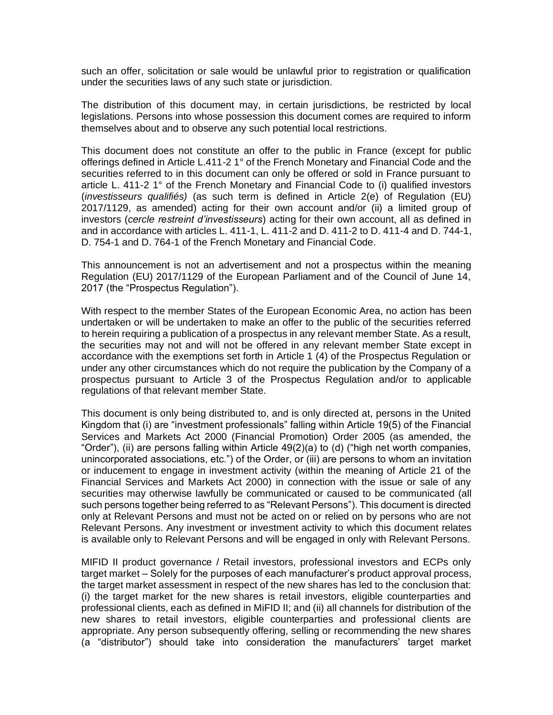such an offer, solicitation or sale would be unlawful prior to registration or qualification under the securities laws of any such state or jurisdiction.

The distribution of this document may, in certain jurisdictions, be restricted by local legislations. Persons into whose possession this document comes are required to inform themselves about and to observe any such potential local restrictions.

This document does not constitute an offer to the public in France (except for public offerings defined in Article L.411-2 1° of the French Monetary and Financial Code and the securities referred to in this document can only be offered or sold in France pursuant to article L. 411-2 1° of the French Monetary and Financial Code to (i) qualified investors (*investisseurs qualifiés)* (as such term is defined in Article 2(e) of Regulation (EU) 2017/1129, as amended) acting for their own account and/or (ii) a limited group of investors (*cercle restreint d'investisseurs*) acting for their own account, all as defined in and in accordance with articles L. 411-1, L. 411-2 and D. 411-2 to D. 411-4 and D. 744-1, D. 754-1 and D. 764-1 of the French Monetary and Financial Code.

This announcement is not an advertisement and not a prospectus within the meaning Regulation (EU) 2017/1129 of the European Parliament and of the Council of June 14, 2017 (the "Prospectus Regulation").

With respect to the member States of the European Economic Area, no action has been undertaken or will be undertaken to make an offer to the public of the securities referred to herein requiring a publication of a prospectus in any relevant member State. As a result, the securities may not and will not be offered in any relevant member State except in accordance with the exemptions set forth in Article 1 (4) of the Prospectus Regulation or under any other circumstances which do not require the publication by the Company of a prospectus pursuant to Article 3 of the Prospectus Regulation and/or to applicable regulations of that relevant member State.

This document is only being distributed to, and is only directed at, persons in the United Kingdom that (i) are "investment professionals" falling within Article 19(5) of the Financial Services and Markets Act 2000 (Financial Promotion) Order 2005 (as amended, the "Order"), (ii) are persons falling within Article 49(2)(a) to (d) ("high net worth companies, unincorporated associations, etc.") of the Order, or (iii) are persons to whom an invitation or inducement to engage in investment activity (within the meaning of Article 21 of the Financial Services and Markets Act 2000) in connection with the issue or sale of any securities may otherwise lawfully be communicated or caused to be communicated (all such persons together being referred to as "Relevant Persons"). This document is directed only at Relevant Persons and must not be acted on or relied on by persons who are not Relevant Persons. Any investment or investment activity to which this document relates is available only to Relevant Persons and will be engaged in only with Relevant Persons.

MIFID II product governance / Retail investors, professional investors and ECPs only target market – Solely for the purposes of each manufacturer's product approval process, the target market assessment in respect of the new shares has led to the conclusion that: (i) the target market for the new shares is retail investors, eligible counterparties and professional clients, each as defined in MiFID II; and (ii) all channels for distribution of the new shares to retail investors, eligible counterparties and professional clients are appropriate. Any person subsequently offering, selling or recommending the new shares (a "distributor") should take into consideration the manufacturers' target market